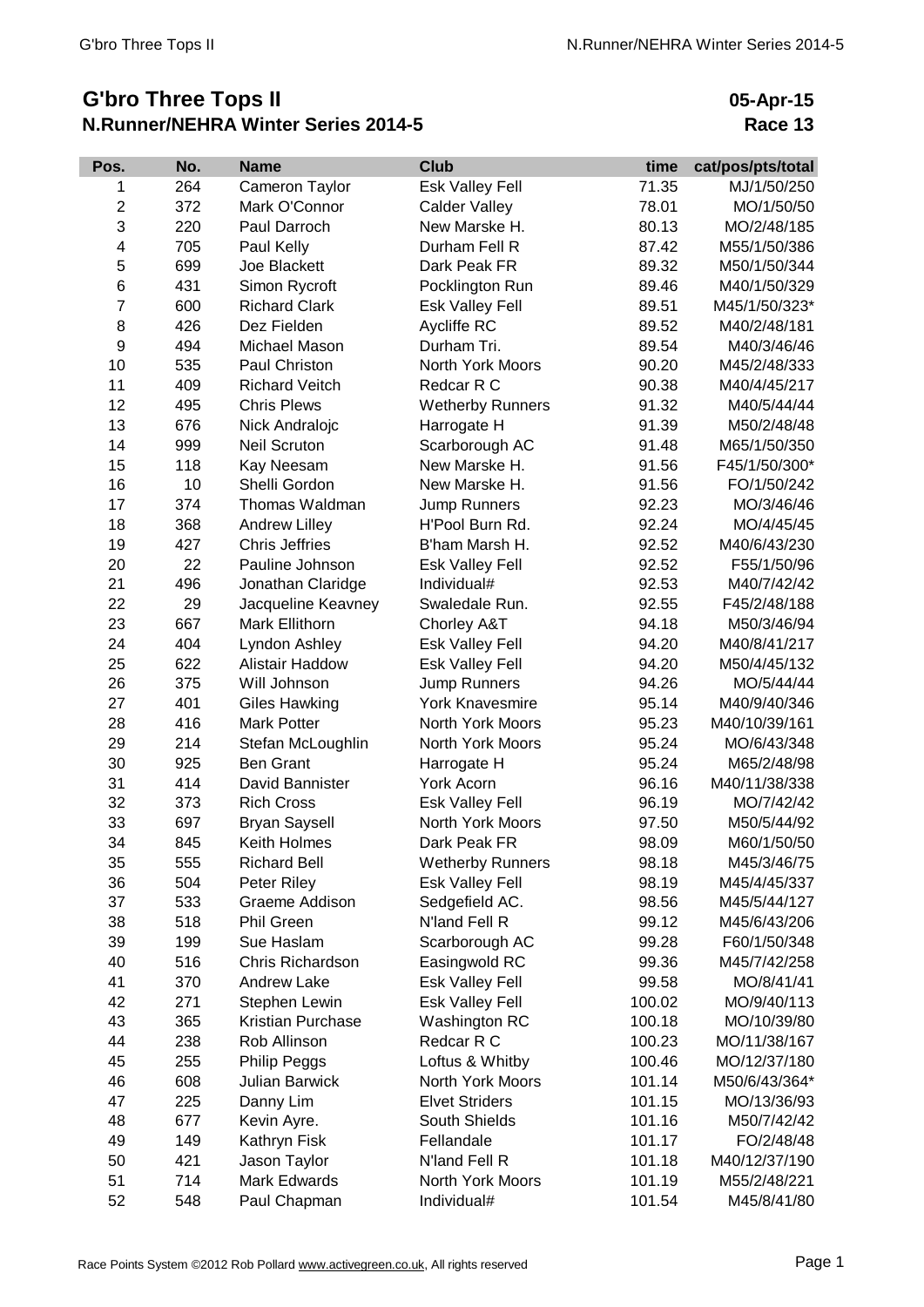## **G'bro Three Tops II N.Runner/NEHRA Winter Series 2014-5**

**05-Apr-15 Race 13**

| Pos.                    | No. | <b>Name</b>           | <b>Club</b>             | time   | cat/pos/pts/total |
|-------------------------|-----|-----------------------|-------------------------|--------|-------------------|
| 1                       | 264 | Cameron Taylor        | Esk Valley Fell         | 71.35  | MJ/1/50/250       |
| $\overline{\mathbf{c}}$ | 372 | Mark O'Connor         | <b>Calder Valley</b>    | 78.01  | MO/1/50/50        |
| 3                       | 220 | Paul Darroch          | New Marske H.           | 80.13  | MO/2/48/185       |
| 4                       | 705 | Paul Kelly            | Durham Fell R           | 87.42  | M55/1/50/386      |
| 5                       | 699 | Joe Blackett          | Dark Peak FR            | 89.32  | M50/1/50/344      |
| 6                       | 431 | Simon Rycroft         | Pocklington Run         | 89.46  | M40/1/50/329      |
| 7                       | 600 | <b>Richard Clark</b>  | Esk Valley Fell         | 89.51  | M45/1/50/323*     |
| 8                       | 426 | Dez Fielden           | Aycliffe RC             | 89.52  | M40/2/48/181      |
| 9                       | 494 | Michael Mason         | Durham Tri.             | 89.54  | M40/3/46/46       |
| 10                      | 535 | Paul Christon         | North York Moors        | 90.20  | M45/2/48/333      |
| 11                      | 409 | <b>Richard Veitch</b> | Redcar R C              | 90.38  | M40/4/45/217      |
| 12                      | 495 | <b>Chris Plews</b>    | <b>Wetherby Runners</b> | 91.32  | M40/5/44/44       |
| 13                      | 676 | Nick Andralojc        | Harrogate H             | 91.39  | M50/2/48/48       |
| 14                      | 999 | <b>Neil Scruton</b>   | Scarborough AC          | 91.48  | M65/1/50/350      |
| 15                      | 118 | Kay Neesam            | New Marske H.           | 91.56  | F45/1/50/300*     |
| 16                      | 10  | Shelli Gordon         | New Marske H.           | 91.56  | FO/1/50/242       |
| 17                      | 374 | Thomas Waldman        | Jump Runners            | 92.23  | MO/3/46/46        |
| 18                      | 368 | Andrew Lilley         | H'Pool Burn Rd.         | 92.24  | MO/4/45/45        |
| 19                      | 427 | <b>Chris Jeffries</b> | B'ham Marsh H.          | 92.52  | M40/6/43/230      |
| 20                      | 22  | Pauline Johnson       | <b>Esk Valley Fell</b>  | 92.52  | F55/1/50/96       |
| 21                      | 496 | Jonathan Claridge     | Individual#             | 92.53  | M40/7/42/42       |
| 22                      | 29  | Jacqueline Keavney    | Swaledale Run.          | 92.55  | F45/2/48/188      |
| 23                      | 667 | Mark Ellithorn        | Chorley A&T             | 94.18  | M50/3/46/94       |
| 24                      | 404 | Lyndon Ashley         | Esk Valley Fell         | 94.20  | M40/8/41/217      |
| 25                      | 622 | Alistair Haddow       | Esk Valley Fell         | 94.20  | M50/4/45/132      |
| 26                      | 375 | Will Johnson          | Jump Runners            | 94.26  | MO/5/44/44        |
| 27                      | 401 | <b>Giles Hawking</b>  | <b>York Knavesmire</b>  | 95.14  | M40/9/40/346      |
| 28                      | 416 | <b>Mark Potter</b>    | North York Moors        | 95.23  | M40/10/39/161     |
| 29                      | 214 | Stefan McLoughlin     | North York Moors        | 95.24  | MO/6/43/348       |
| 30                      | 925 | <b>Ben Grant</b>      | Harrogate H             | 95.24  | M65/2/48/98       |
| 31                      | 414 | David Bannister       | York Acorn              | 96.16  | M40/11/38/338     |
| 32                      | 373 | <b>Rich Cross</b>     | Esk Valley Fell         | 96.19  | MO/7/42/42        |
| 33                      | 697 | <b>Bryan Saysell</b>  | North York Moors        | 97.50  | M50/5/44/92       |
| 34                      | 845 | Keith Holmes          | Dark Peak FR            | 98.09  | M60/1/50/50       |
| 35                      | 555 | <b>Richard Bell</b>   | <b>Wetherby Runners</b> | 98.18  | M45/3/46/75       |
| 36                      | 504 | Peter Riley           | Esk Valley Fell         | 98.19  | M45/4/45/337      |
| 37                      | 533 | Graeme Addison        | Sedgefield AC.          | 98.56  | M45/5/44/127      |
| 38                      | 518 | <b>Phil Green</b>     | N'land Fell R           | 99.12  | M45/6/43/206      |
| 39                      | 199 | Sue Haslam            | Scarborough AC          | 99.28  | F60/1/50/348      |
| 40                      | 516 | Chris Richardson      | Easingwold RC           | 99.36  | M45/7/42/258      |
| 41                      | 370 | <b>Andrew Lake</b>    | <b>Esk Valley Fell</b>  | 99.58  | MO/8/41/41        |
| 42                      | 271 | Stephen Lewin         | Esk Valley Fell         | 100.02 | MO/9/40/113       |
| 43                      | 365 | Kristian Purchase     | Washington RC           | 100.18 | MO/10/39/80       |
| 44                      | 238 | Rob Allinson          | Redcar R C              | 100.23 | MO/11/38/167      |
| 45                      | 255 | <b>Philip Peggs</b>   | Loftus & Whitby         | 100.46 | MO/12/37/180      |
| 46                      | 608 | Julian Barwick        | North York Moors        | 101.14 | M50/6/43/364*     |
| 47                      | 225 | Danny Lim             | <b>Elvet Striders</b>   | 101.15 | MO/13/36/93       |
| 48                      | 677 | Kevin Ayre.           | South Shields           | 101.16 | M50/7/42/42       |
| 49                      | 149 | Kathryn Fisk          | Fellandale              | 101.17 | FO/2/48/48        |
| 50                      | 421 | Jason Taylor          | N'land Fell R           | 101.18 | M40/12/37/190     |
| 51                      | 714 | Mark Edwards          | North York Moors        | 101.19 | M55/2/48/221      |
| 52                      | 548 | Paul Chapman          | Individual#             | 101.54 | M45/8/41/80       |
|                         |     |                       |                         |        |                   |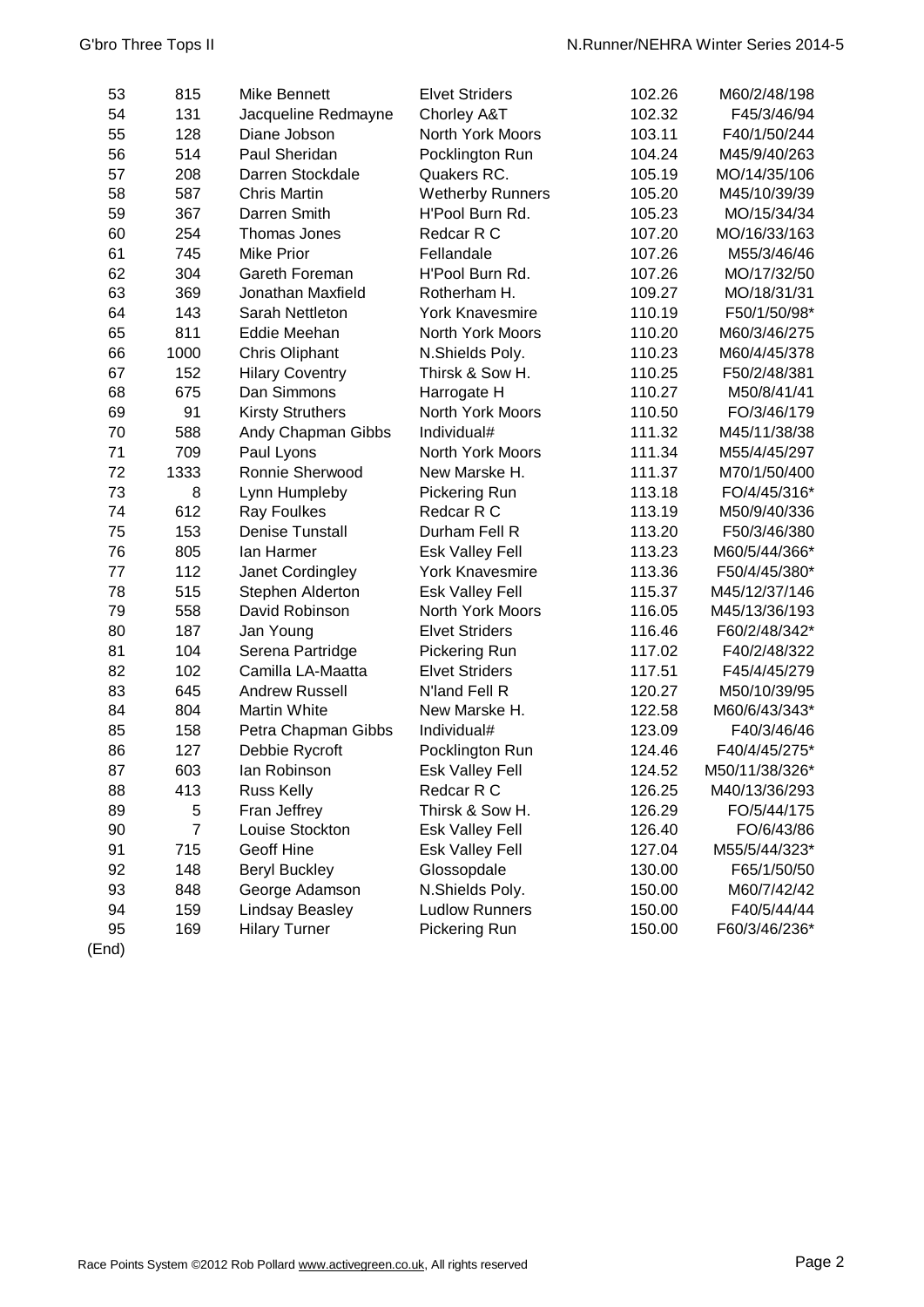| 53 | 815            | Mike Bennett            | <b>Elvet Striders</b>   | 102.26 | M60/2/48/198   |
|----|----------------|-------------------------|-------------------------|--------|----------------|
| 54 | 131            | Jacqueline Redmayne     | Chorley A&T             | 102.32 | F45/3/46/94    |
| 55 | 128            | Diane Jobson            | North York Moors        | 103.11 | F40/1/50/244   |
| 56 | 514            | Paul Sheridan           | Pocklington Run         | 104.24 | M45/9/40/263   |
| 57 | 208            | Darren Stockdale        | Quakers RC.             | 105.19 | MO/14/35/106   |
| 58 | 587            | <b>Chris Martin</b>     | <b>Wetherby Runners</b> | 105.20 | M45/10/39/39   |
| 59 | 367            | Darren Smith            | H'Pool Burn Rd.         | 105.23 | MO/15/34/34    |
| 60 | 254            | Thomas Jones            | Redcar R C              | 107.20 | MO/16/33/163   |
| 61 | 745            | <b>Mike Prior</b>       | Fellandale              | 107.26 | M55/3/46/46    |
| 62 | 304            | Gareth Foreman          | H'Pool Burn Rd.         | 107.26 | MO/17/32/50    |
| 63 | 369            | Jonathan Maxfield       | Rotherham H.            | 109.27 | MO/18/31/31    |
| 64 | 143            | Sarah Nettleton         | <b>York Knavesmire</b>  | 110.19 | F50/1/50/98*   |
| 65 | 811            | Eddie Meehan            | North York Moors        | 110.20 | M60/3/46/275   |
| 66 | 1000           | Chris Oliphant          | N.Shields Poly.         | 110.23 | M60/4/45/378   |
| 67 | 152            | <b>Hilary Coventry</b>  | Thirsk & Sow H.         | 110.25 | F50/2/48/381   |
| 68 | 675            | Dan Simmons             | Harrogate H             | 110.27 | M50/8/41/41    |
| 69 | 91             | <b>Kirsty Struthers</b> | North York Moors        | 110.50 | FO/3/46/179    |
| 70 | 588            | Andy Chapman Gibbs      | Individual#             | 111.32 | M45/11/38/38   |
| 71 | 709            | Paul Lyons              | <b>North York Moors</b> | 111.34 | M55/4/45/297   |
| 72 | 1333           | Ronnie Sherwood         | New Marske H.           | 111.37 | M70/1/50/400   |
| 73 | 8              | Lynn Humpleby           | Pickering Run           | 113.18 | FO/4/45/316*   |
| 74 | 612            | <b>Ray Foulkes</b>      | Redcar R C              | 113.19 | M50/9/40/336   |
| 75 | 153            | <b>Denise Tunstall</b>  | Durham Fell R           | 113.20 | F50/3/46/380   |
| 76 | 805            | lan Harmer              | <b>Esk Valley Fell</b>  | 113.23 | M60/5/44/366*  |
| 77 | 112            | Janet Cordingley        | <b>York Knavesmire</b>  | 113.36 | F50/4/45/380*  |
| 78 | 515            | Stephen Alderton        | Esk Valley Fell         | 115.37 | M45/12/37/146  |
| 79 | 558            | David Robinson          | North York Moors        | 116.05 | M45/13/36/193  |
| 80 | 187            | Jan Young               | <b>Elvet Striders</b>   | 116.46 | F60/2/48/342*  |
| 81 | 104            | Serena Partridge        | Pickering Run           | 117.02 | F40/2/48/322   |
| 82 | 102            | Camilla LA-Maatta       | <b>Elvet Striders</b>   | 117.51 | F45/4/45/279   |
| 83 | 645            | <b>Andrew Russell</b>   | N'land Fell R           | 120.27 | M50/10/39/95   |
| 84 | 804            | <b>Martin White</b>     | New Marske H.           | 122.58 | M60/6/43/343*  |
| 85 | 158            | Petra Chapman Gibbs     | Individual#             | 123.09 | F40/3/46/46    |
| 86 | 127            | Debbie Rycroft          | Pocklington Run         | 124.46 | F40/4/45/275*  |
| 87 | 603            | lan Robinson            | <b>Esk Valley Fell</b>  | 124.52 | M50/11/38/326* |
| 88 | 413            | <b>Russ Kelly</b>       | Redcar R C              | 126.25 | M40/13/36/293  |
| 89 | 5              | Fran Jeffrey            | Thirsk & Sow H.         | 126.29 | FO/5/44/175    |
| 90 | $\overline{7}$ | Louise Stockton         | <b>Esk Valley Fell</b>  | 126.40 | FO/6/43/86     |
| 91 | 715            | <b>Geoff Hine</b>       | Esk Valley Fell         | 127.04 | M55/5/44/323*  |
| 92 | 148            | <b>Beryl Buckley</b>    | Glossopdale             | 130.00 | F65/1/50/50    |
| 93 | 848            | George Adamson          | N.Shields Poly.         | 150.00 | M60/7/42/42    |
| 94 | 159            | <b>Lindsay Beasley</b>  | <b>Ludlow Runners</b>   | 150.00 | F40/5/44/44    |
| 95 | 169            | <b>Hilary Turner</b>    | Pickering Run           | 150.00 | F60/3/46/236*  |
|    |                |                         |                         |        |                |

(End)